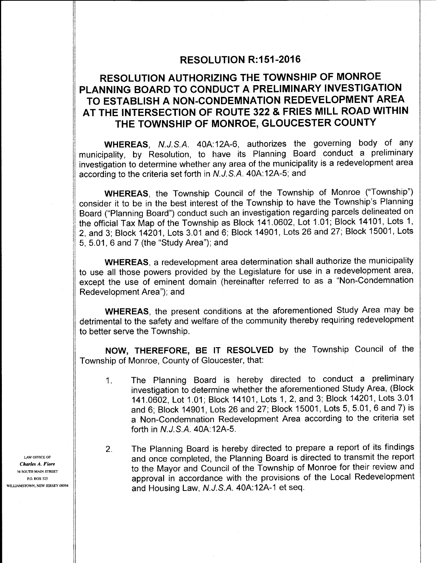## **RESOLUTION R:151-2016**

## RESOLUTION AUTHORIZING THE TOWNSHIP OF MONROE PLANNING BOARD TO CONDUCT A PRELIMINARY INVESTIGATION TO ESTABLISH A NON-CONDEMNATION REDEVELOPMENT AREA AT THE INTERSECTION OF ROUTE 322 & FRIES MILL ROAD WITHIN THE TOWNSHIP OF MONROE, GLOUCESTER COUNTY

WHEREAS, N.J.S.A. 40A:12A-6, authorizes the governing body of any municipality, by Resolution, to have its Planning Board conduct <sup>a</sup> preliminary investigation to determine whether any area of the municipality is a redevelopment area according to the criteria set forth in N.J.S.A. 40A: 12A-5; and

1) WHEREAS, the Township Council of the Township of Monroe ("Township") consider it to be in the best interest of the Township to have the Township's Planning Board ("Planning Board") conduct such an investigation regarding parcels delineated on the official Tax Map of the Township as Block 141.0602, Lot 1.01; Block 14101, Lots 1, 12, and 3; Block 14201, Lots 3. 01 and 6; Block 14901, Lots 26 and 27; Block 15001, Lots 5, 5. 01, 6 and 7 ( the "Study Area"); and

WHEREAS, a redevelopment area determination shall authorize the municipality to use all those powers provided by the Legislature for use in a redevelopment area, except the use of eminent domain (hereinafter referred to as a "Non-Condemnation Redevelopment Area"); and

WHEREAS, the present conditions at the aforementioned Study Area may be detrimental to the safety and welfare of the community thereby requiring redevelopment to better serve the Township.

NOW, THEREFORE, BE IT RESOLVED by the Township Council of the Township of Monroe, County of Gloucester, that:

- 1. The Planning Board is hereby directed to conduct <sup>a</sup> preliminary investigation to determine whether the aforementioned Study Area, (Block 141. 0602, Lot 1. 01; Block 14101, Lots 1, 2, and 3; Block 14201, Lots 3. <sup>01</sup> and 6; Block 14901, Lots 26 and 27; Block 15001, Lots 5, 5. 01, 6 and 7) is a Non- Condemnation Redevelopment Area according to the criteria set forth in N.J.S.A. 40A: 12A-5.
- 2. The Planning Board is hereby directed to prepare a report of its findings  $L$ AW OFFICE OF  $\parallel$  and once completed, the Planning Board is directed to transmit the report  $\frac{1}{4}$  SOUTH MAIN STREET  $\|$  to the Mayor and Council of the Township of Monroe for their review and PO. BOX 525 **a providence** with the provisions of the Local Redevelopment WILLIAMSTOWN, NEW JERSEY 08094  $\parallel$  and Housing Law, N.J.S.A. 40A:12A-1 et seq.

Charles A. Fiore

. .

I

I